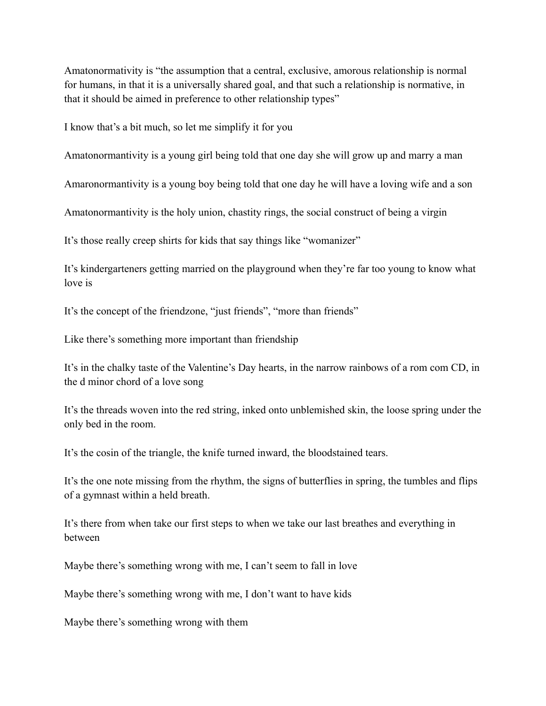Amatonormativity is "the assumption that a central, exclusive, amorous relationship is normal for humans, in that it is a universally shared goal, and that such a relationship is normative, in that it should be aimed in preference to other relationship types"

I know that's a bit much, so let me simplify it for you

Amatonormantivity is a young girl being told that one day she will grow up and marry a man

Amaronormantivity is a young boy being told that one day he will have a loving wife and a son

Amatonormantivity is the holy union, chastity rings, the social construct of being a virgin

It's those really creep shirts for kids that say things like "womanizer"

It's kindergarteners getting married on the playground when they're far too young to know what love is

It's the concept of the friendzone, "just friends", "more than friends"

Like there's something more important than friendship

It's in the chalky taste of the Valentine's Day hearts, in the narrow rainbows of a rom com CD, in the d minor chord of a love song

It's the threads woven into the red string, inked onto unblemished skin, the loose spring under the only bed in the room.

It's the cosin of the triangle, the knife turned inward, the bloodstained tears.

It's the one note missing from the rhythm, the signs of butterflies in spring, the tumbles and flips of a gymnast within a held breath.

It's there from when take our first steps to when we take our last breathes and everything in between

Maybe there's something wrong with me, I can't seem to fall in love

Maybe there's something wrong with me, I don't want to have kids

Maybe there's something wrong with them